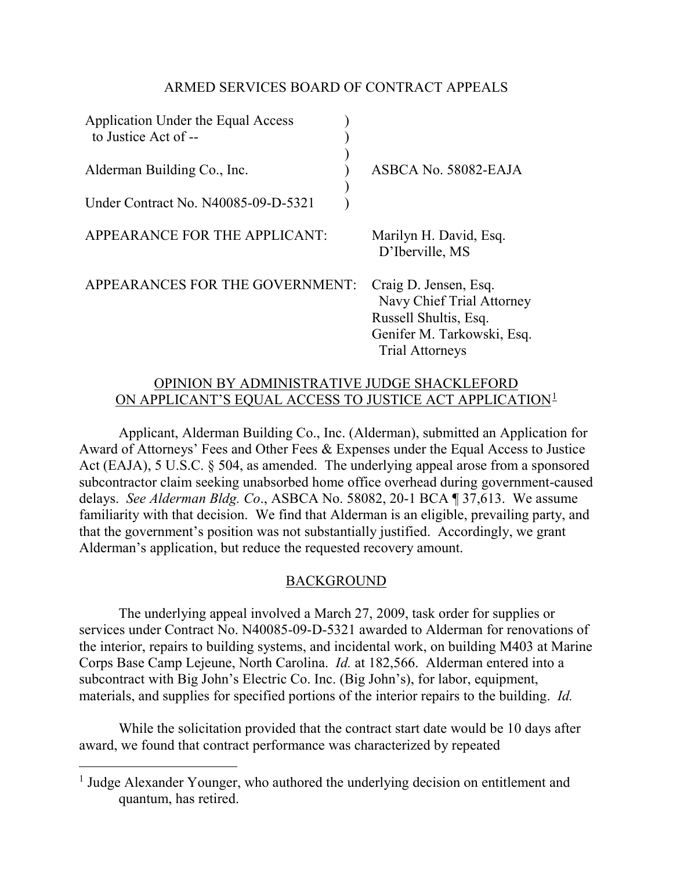# ARMED SERVICES BOARD OF CONTRACT APPEALS

| Application Under the Equal Access<br>to Justice Act of -- |                                                                                                                                     |
|------------------------------------------------------------|-------------------------------------------------------------------------------------------------------------------------------------|
| Alderman Building Co., Inc.                                | ASBCA No. 58082-EAJA                                                                                                                |
| Under Contract No. N40085-09-D-5321                        |                                                                                                                                     |
| APPEARANCE FOR THE APPLICANT:                              | Marilyn H. David, Esq.<br>D'Iberville, MS                                                                                           |
| APPEARANCES FOR THE GOVERNMENT:                            | Craig D. Jensen, Esq.<br>Navy Chief Trial Attorney<br>Russell Shultis, Esq.<br>Genifer M. Tarkowski, Esq.<br><b>Trial Attorneys</b> |

#### OPINION BY ADMINISTRATIVE JUDGE SHACKLEFORD ON APPLICANT'S EQUAL ACCESS TO JUSTICE ACT APPLICATION<sup>[1](#page-0-0)</sup>

Applicant, Alderman Building Co., Inc. (Alderman), submitted an Application for Award of Attorneys' Fees and Other Fees & Expenses under the Equal Access to Justice Act (EAJA), 5 U.S.C. § 504, as amended. The underlying appeal arose from a sponsored subcontractor claim seeking unabsorbed home office overhead during government-caused delays. *See Alderman Bldg. Co*., ASBCA No. 58082, 20-1 BCA ¶ 37,613. We assume familiarity with that decision. We find that Alderman is an eligible, prevailing party, and that the government's position was not substantially justified. Accordingly, we grant Alderman's application, but reduce the requested recovery amount.

# BACKGROUND

The underlying appeal involved a March 27, 2009, task order for supplies or services under Contract No. N40085-09-D-5321 awarded to Alderman for renovations of the interior, repairs to building systems, and incidental work, on building M403 at Marine Corps Base Camp Lejeune, North Carolina. *Id.* at 182,566. Alderman entered into a subcontract with Big John's Electric Co. Inc. (Big John's), for labor, equipment, materials, and supplies for specified portions of the interior repairs to the building. *Id.*

While the solicitation provided that the contract start date would be 10 days after award, we found that contract performance was characterized by repeated

 $\overline{a}$ 

<span id="page-0-0"></span><sup>&</sup>lt;sup>1</sup> Judge Alexander Younger, who authored the underlying decision on entitlement and quantum, has retired.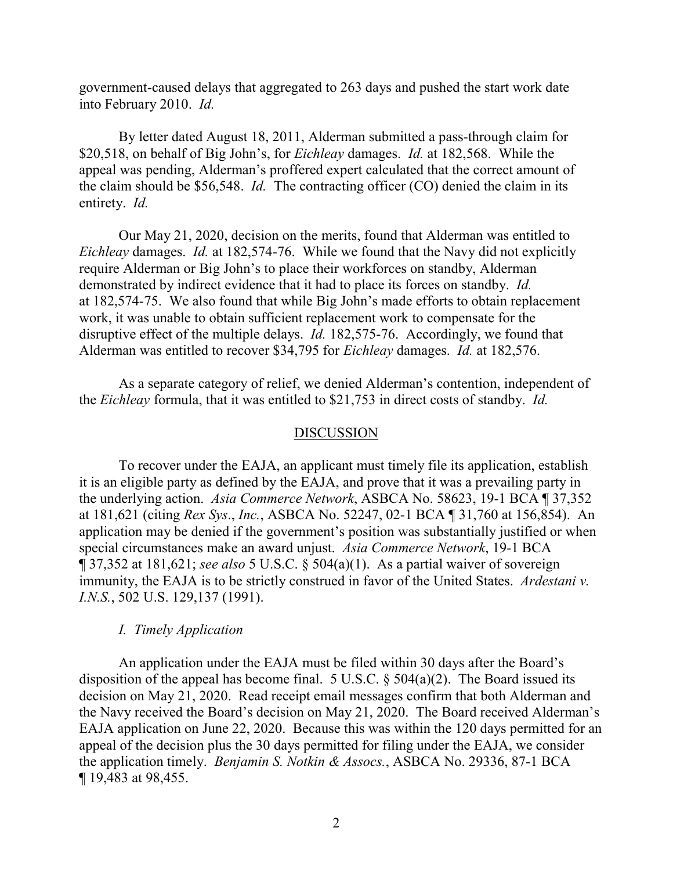government-caused delays that aggregated to 263 days and pushed the start work date into February 2010. *Id.*

By letter dated August 18, 2011, Alderman submitted a pass-through claim for \$20,518, on behalf of Big John's, for *Eichleay* damages. *Id.* at 182,568. While the appeal was pending, Alderman's proffered expert calculated that the correct amount of the claim should be \$56,548. *Id.* The contracting officer (CO) denied the claim in its entirety. *Id.*

Our May 21, 2020, decision on the merits, found that Alderman was entitled to *Eichleay* damages. *Id.* at 182,574-76. While we found that the Navy did not explicitly require Alderman or Big John's to place their workforces on standby, Alderman demonstrated by indirect evidence that it had to place its forces on standby. *Id.* at 182,574-75. We also found that while Big John's made efforts to obtain replacement work, it was unable to obtain sufficient replacement work to compensate for the disruptive effect of the multiple delays. *Id.* 182,575-76. Accordingly, we found that Alderman was entitled to recover \$34,795 for *Eichleay* damages. *Id.* at 182,576.

As a separate category of relief, we denied Alderman's contention, independent of the *Eichleay* formula, that it was entitled to \$21,753 in direct costs of standby. *Id.*

#### DISCUSSION

To recover under the EAJA, an applicant must timely file its application, establish it is an eligible party as defined by the EAJA, and prove that it was a prevailing party in the underlying action. *Asia Commerce Network*, ASBCA No. 58623, 19-1 BCA ¶ 37,352 at 181,621 (citing *Rex Sys*., *Inc.*, ASBCA No. 52247, 02-1 BCA ¶ 31,760 at 156,854). An application may be denied if the government's position was substantially justified or when special circumstances make an award unjust. *Asia Commerce Network*, 19-1 BCA ¶ 37,352 at 181,621; *see also* 5 U.S.C. § 504(a)(1). As a partial waiver of sovereign immunity, the EAJA is to be strictly construed in favor of the United States. *Ardestani v. I.N.S.*, 502 U.S. 129,137 (1991).

#### *I. Timely Application*

An application under the EAJA must be filed within 30 days after the Board's disposition of the appeal has become final. 5 U.S.C.  $\S$  504(a)(2). The Board issued its decision on May 21, 2020. Read receipt email messages confirm that both Alderman and the Navy received the Board's decision on May 21, 2020. The Board received Alderman's EAJA application on June 22, 2020. Because this was within the 120 days permitted for an appeal of the decision plus the 30 days permitted for filing under the EAJA, we consider the application timely. *Benjamin S. Notkin & Assocs.*, ASBCA No. 29336, 87-1 BCA ¶ 19,483 at 98,455.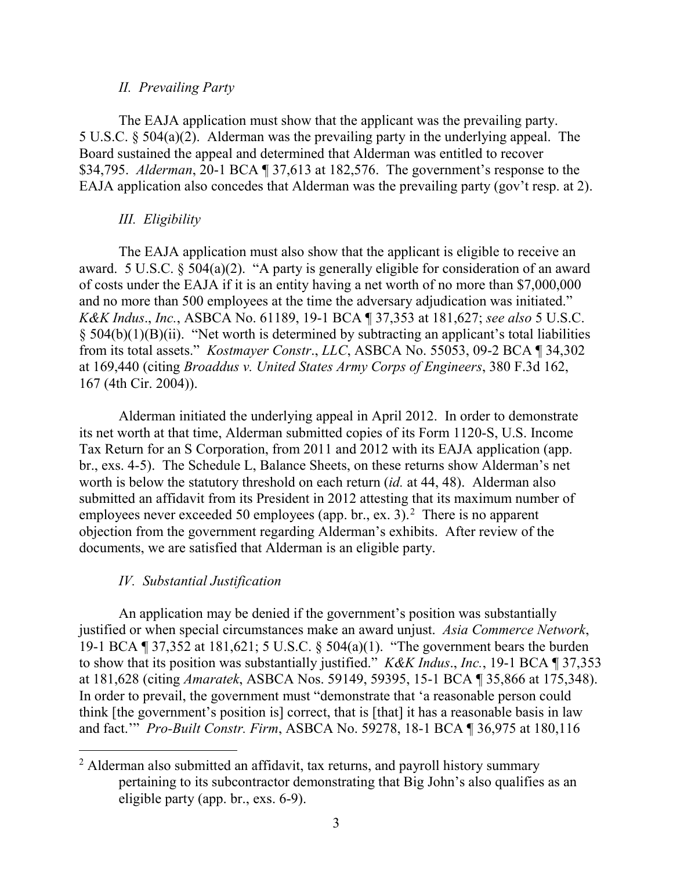#### *II. Prevailing Party*

The EAJA application must show that the applicant was the prevailing party. 5 U.S.C. § 504(a)(2). Alderman was the prevailing party in the underlying appeal. The Board sustained the appeal and determined that Alderman was entitled to recover \$34,795. *Alderman*, 20-1 BCA ¶ 37,613 at 182,576. The government's response to the EAJA application also concedes that Alderman was the prevailing party (gov't resp. at 2).

# *III. Eligibility*

The EAJA application must also show that the applicant is eligible to receive an award. 5 U.S.C. § 504(a)(2). "A party is generally eligible for consideration of an award of costs under the EAJA if it is an entity having a net worth of no more than \$7,000,000 and no more than 500 employees at the time the adversary adjudication was initiated." *K&K Indus*., *Inc.*, ASBCA No. 61189, 19-1 BCA ¶ 37,353 at 181,627; *see also* 5 U.S.C.  $\S$  504(b)(1)(B)(ii). "Net worth is determined by subtracting an applicant's total liabilities from its total assets." *Kostmayer Constr*., *LLC*, ASBCA No. 55053, 09-2 BCA ¶ 34,302 at 169,440 (citing *Broaddus v. United States Army Corps of Engineers*, 380 F.3d 162, 167 (4th Cir. 2004)).

Alderman initiated the underlying appeal in April 2012. In order to demonstrate its net worth at that time, Alderman submitted copies of its Form 1120-S, U.S. Income Tax Return for an S Corporation, from 2011 and 2012 with its EAJA application (app. br., exs. 4-5). The Schedule L, Balance Sheets, on these returns show Alderman's net worth is below the statutory threshold on each return (*id.* at 44, 48). Alderman also submitted an affidavit from its President in 2012 attesting that its maximum number of employees never exceeded 50 employees (app. br., ex. 3).<sup>[2](#page-2-0)</sup> There is no apparent objection from the government regarding Alderman's exhibits. After review of the documents, we are satisfied that Alderman is an eligible party.

# *IV. Substantial Justification*

An application may be denied if the government's position was substantially justified or when special circumstances make an award unjust. *Asia Commerce Network*, 19-1 BCA ¶ 37,352 at 181,621; 5 U.S.C. § 504(a)(1). "The government bears the burden to show that its position was substantially justified." *K&K Indus*., *Inc.*, 19-1 BCA ¶ 37,353 at 181,628 (citing *Amaratek*, ASBCA Nos. 59149, 59395, 15-1 BCA ¶ 35,866 at 175,348). In order to prevail, the government must "demonstrate that 'a reasonable person could think [the government's position is] correct, that is [that] it has a reasonable basis in law and fact.'" *Pro-Built Constr. Firm*, ASBCA No. 59278, 18-1 BCA ¶ 36,975 at 180,116

<span id="page-2-0"></span><sup>&</sup>lt;sup>2</sup> Alderman also submitted an affidavit, tax returns, and payroll history summary pertaining to its subcontractor demonstrating that Big John's also qualifies as an eligible party (app. br., exs. 6-9).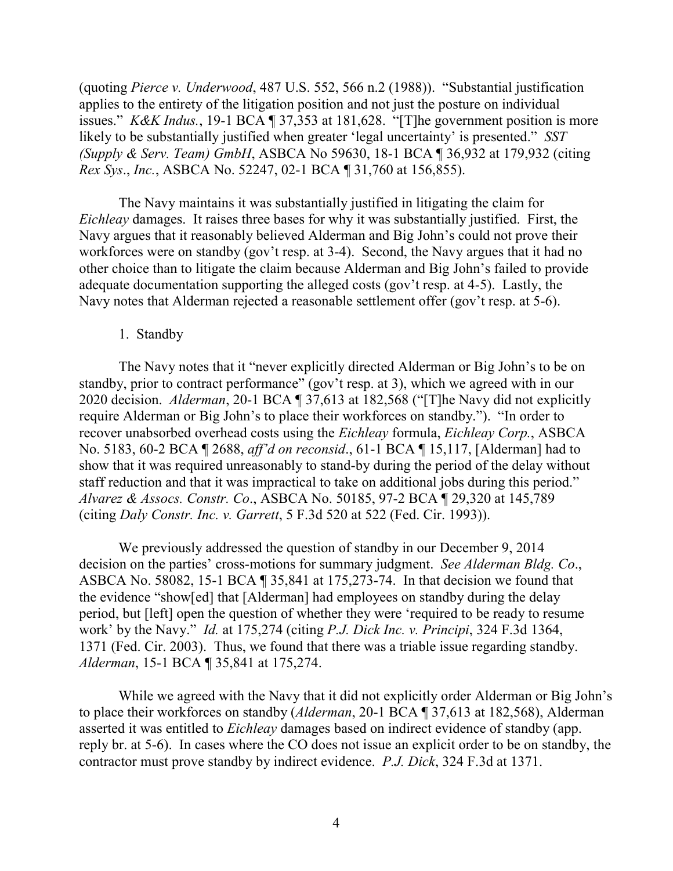(quoting *Pierce v. Underwood*, 487 U.S. 552, 566 n.2 (1988)). "Substantial justification applies to the entirety of the litigation position and not just the posture on individual issues." *K&K Indus.*, 19-1 BCA ¶ 37,353 at 181,628. "[T]he government position is more likely to be substantially justified when greater 'legal uncertainty' is presented." *SST (Supply & Serv. Team) GmbH*, ASBCA No 59630, 18-1 BCA ¶ 36,932 at 179,932 (citing *Rex Sys*., *Inc.*, ASBCA No. 52247, 02-1 BCA ¶ 31,760 at 156,855).

The Navy maintains it was substantially justified in litigating the claim for *Eichleay* damages. It raises three bases for why it was substantially justified. First, the Navy argues that it reasonably believed Alderman and Big John's could not prove their workforces were on standby (gov't resp. at 3-4). Second, the Navy argues that it had no other choice than to litigate the claim because Alderman and Big John's failed to provide adequate documentation supporting the alleged costs (gov't resp. at 4-5). Lastly, the Navy notes that Alderman rejected a reasonable settlement offer (gov't resp. at 5-6).

#### 1. Standby

The Navy notes that it "never explicitly directed Alderman or Big John's to be on standby, prior to contract performance" (gov't resp. at 3), which we agreed with in our 2020 decision. *Alderman*, 20-1 BCA ¶ 37,613 at 182,568 ("[T]he Navy did not explicitly require Alderman or Big John's to place their workforces on standby."). "In order to recover unabsorbed overhead costs using the *Eichleay* formula, *Eichleay Corp.*, ASBCA No. 5183, 60-2 BCA ¶ 2688, *aff'd on reconsid*., 61-1 BCA ¶ 15,117, [Alderman] had to show that it was required unreasonably to stand-by during the period of the delay without staff reduction and that it was impractical to take on additional jobs during this period." *Alvarez & Assocs. Constr. Co*., ASBCA No. 50185, 97-2 BCA ¶ 29,320 at 145,789 (citing *Daly Constr. Inc. v. Garrett*, 5 F.3d 520 at 522 (Fed. Cir. 1993)).

We previously addressed the question of standby in our December 9, 2014 decision on the parties' cross-motions for summary judgment. *See Alderman Bldg. Co*., ASBCA No. 58082, 15-1 BCA ¶ 35,841 at 175,273-74. In that decision we found that the evidence "show[ed] that [Alderman] had employees on standby during the delay period, but [left] open the question of whether they were 'required to be ready to resume work' by the Navy." *Id.* at 175,274 (citing *P.J. Dick Inc. v. Principi*, 324 F.3d 1364, 1371 (Fed. Cir. 2003). Thus, we found that there was a triable issue regarding standby. *Alderman*, 15-1 BCA ¶ 35,841 at 175,274.

While we agreed with the Navy that it did not explicitly order Alderman or Big John's to place their workforces on standby (*Alderman*, 20-1 BCA ¶ 37,613 at 182,568), Alderman asserted it was entitled to *Eichleay* damages based on indirect evidence of standby (app. reply br. at 5-6). In cases where the CO does not issue an explicit order to be on standby, the contractor must prove standby by indirect evidence. *P.J. Dick*, 324 F.3d at 1371.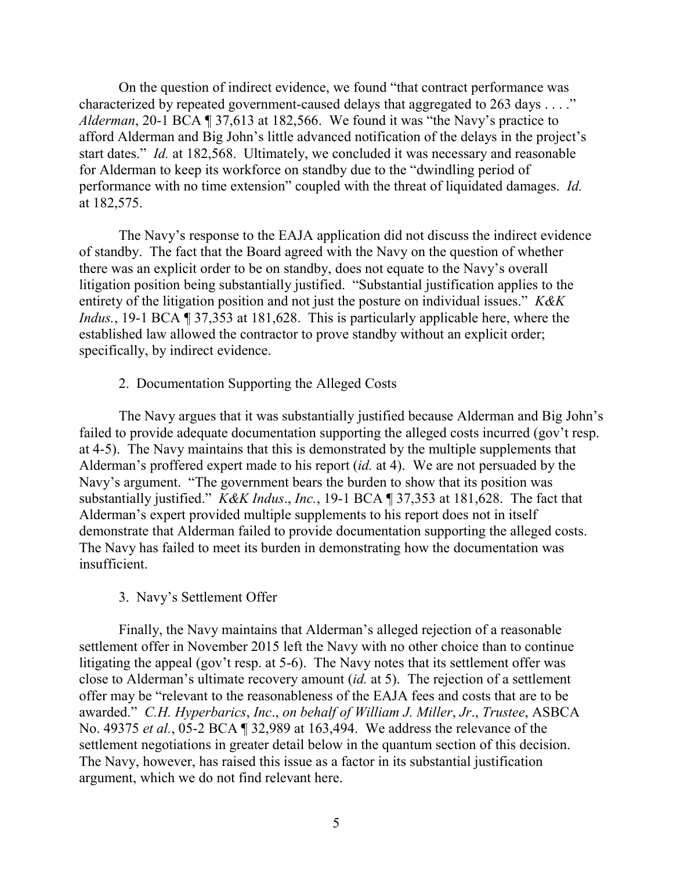On the question of indirect evidence, we found "that contract performance was characterized by repeated government-caused delays that aggregated to 263 days . . . ." *Alderman*, 20-1 BCA ¶ 37,613 at 182,566. We found it was "the Navy's practice to afford Alderman and Big John's little advanced notification of the delays in the project's start dates." *Id.* at 182,568. Ultimately, we concluded it was necessary and reasonable for Alderman to keep its workforce on standby due to the "dwindling period of performance with no time extension" coupled with the threat of liquidated damages. *Id.* at 182,575.

The Navy's response to the EAJA application did not discuss the indirect evidence of standby. The fact that the Board agreed with the Navy on the question of whether there was an explicit order to be on standby, does not equate to the Navy's overall litigation position being substantially justified. "Substantial justification applies to the entirety of the litigation position and not just the posture on individual issues." *K&K Indus.*, 19-1 BCA ¶ 37,353 at 181,628. This is particularly applicable here, where the established law allowed the contractor to prove standby without an explicit order; specifically, by indirect evidence.

# 2. Documentation Supporting the Alleged Costs

The Navy argues that it was substantially justified because Alderman and Big John's failed to provide adequate documentation supporting the alleged costs incurred (gov't resp. at 4-5). The Navy maintains that this is demonstrated by the multiple supplements that Alderman's proffered expert made to his report (*id.* at 4). We are not persuaded by the Navy's argument. "The government bears the burden to show that its position was substantially justified." *K&K Indus*., *Inc.*, 19-1 BCA ¶ 37,353 at 181,628. The fact that Alderman's expert provided multiple supplements to his report does not in itself demonstrate that Alderman failed to provide documentation supporting the alleged costs. The Navy has failed to meet its burden in demonstrating how the documentation was insufficient.

# 3. Navy's Settlement Offer

Finally, the Navy maintains that Alderman's alleged rejection of a reasonable settlement offer in November 2015 left the Navy with no other choice than to continue litigating the appeal (gov't resp. at 5-6). The Navy notes that its settlement offer was close to Alderman's ultimate recovery amount (*id.* at 5). The rejection of a settlement offer may be "relevant to the reasonableness of the EAJA fees and costs that are to be awarded." *C.H. Hyperbarics*, *Inc*., *on behalf of William J. Miller*, *Jr*., *Trustee*, ASBCA No. 49375 *et al.*, 05-2 BCA ¶ 32,989 at 163,494. We address the relevance of the settlement negotiations in greater detail below in the quantum section of this decision. The Navy, however, has raised this issue as a factor in its substantial justification argument, which we do not find relevant here.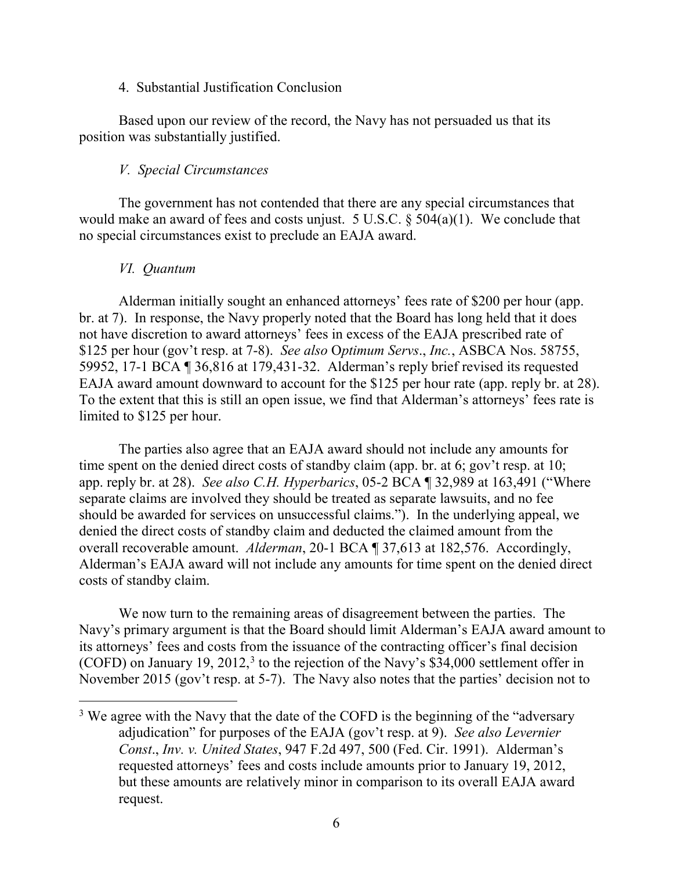#### 4. Substantial Justification Conclusion

Based upon our review of the record, the Navy has not persuaded us that its position was substantially justified.

#### *V. Special Circumstances*

The government has not contended that there are any special circumstances that would make an award of fees and costs unjust. 5 U.S.C. § 504(a)(1). We conclude that no special circumstances exist to preclude an EAJA award.

#### *VI. Quantum*

Alderman initially sought an enhanced attorneys' fees rate of \$200 per hour (app. br. at 7). In response, the Navy properly noted that the Board has long held that it does not have discretion to award attorneys' fees in excess of the EAJA prescribed rate of \$125 per hour (gov't resp. at 7-8). *See also* O*ptimum Servs*., *Inc.*, ASBCA Nos. 58755, 59952, 17-1 BCA ¶ 36,816 at 179,431-32. Alderman's reply brief revised its requested EAJA award amount downward to account for the \$125 per hour rate (app. reply br. at 28). To the extent that this is still an open issue, we find that Alderman's attorneys' fees rate is limited to \$125 per hour.

The parties also agree that an EAJA award should not include any amounts for time spent on the denied direct costs of standby claim (app. br. at 6; gov't resp. at 10; app. reply br. at 28). *See also C.H. Hyperbarics*, 05-2 BCA ¶ 32,989 at 163,491 ("Where separate claims are involved they should be treated as separate lawsuits, and no fee should be awarded for services on unsuccessful claims."). In the underlying appeal, we denied the direct costs of standby claim and deducted the claimed amount from the overall recoverable amount. *Alderman*, 20-1 BCA ¶ 37,613 at 182,576. Accordingly, Alderman's EAJA award will not include any amounts for time spent on the denied direct costs of standby claim.

We now turn to the remaining areas of disagreement between the parties. The Navy's primary argument is that the Board should limit Alderman's EAJA award amount to its attorneys' fees and costs from the issuance of the contracting officer's final decision (COFD) on January 19, 2012,<sup>[3](#page-5-0)</sup> to the rejection of the Navy's  $$34,000$  settlement offer in November 2015 (gov't resp. at 5-7). The Navy also notes that the parties' decision not to

<span id="page-5-0"></span> $3$  We agree with the Navy that the date of the COFD is the beginning of the "adversary" adjudication" for purposes of the EAJA (gov't resp. at 9). *See also Levernier Const*., *Inv. v. United States*, 947 F.2d 497, 500 (Fed. Cir. 1991). Alderman's requested attorneys' fees and costs include amounts prior to January 19, 2012, but these amounts are relatively minor in comparison to its overall EAJA award request.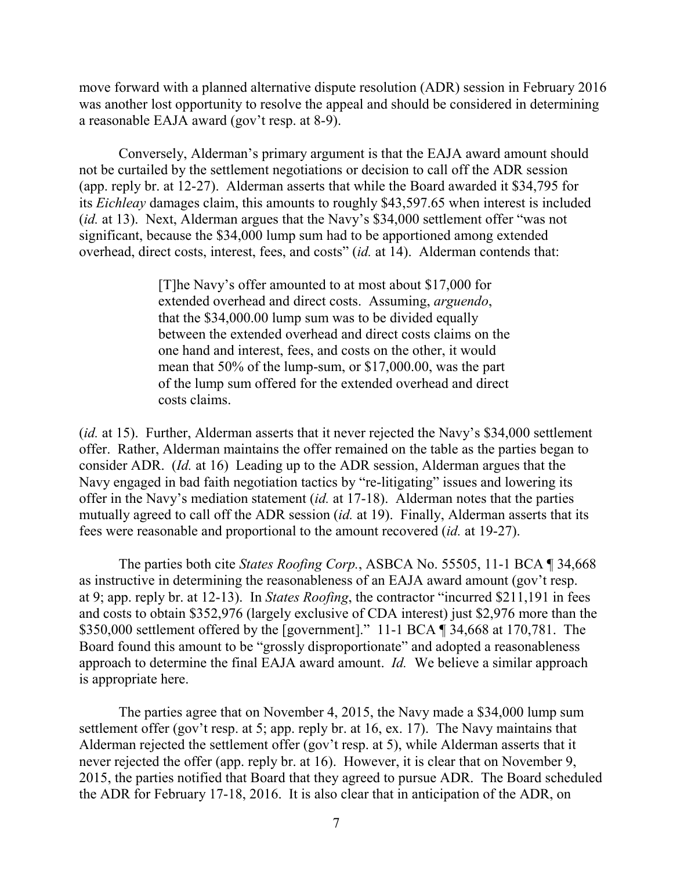move forward with a planned alternative dispute resolution (ADR) session in February 2016 was another lost opportunity to resolve the appeal and should be considered in determining a reasonable EAJA award (gov't resp. at 8-9).

Conversely, Alderman's primary argument is that the EAJA award amount should not be curtailed by the settlement negotiations or decision to call off the ADR session (app. reply br. at 12-27). Alderman asserts that while the Board awarded it \$34,795 for its *Eichleay* damages claim, this amounts to roughly \$43,597.65 when interest is included (*id.* at 13). Next, Alderman argues that the Navy's \$34,000 settlement offer "was not significant, because the \$34,000 lump sum had to be apportioned among extended overhead, direct costs, interest, fees, and costs" (*id.* at 14). Alderman contends that:

> [T]he Navy's offer amounted to at most about \$17,000 for extended overhead and direct costs. Assuming, *arguendo*, that the \$34,000.00 lump sum was to be divided equally between the extended overhead and direct costs claims on the one hand and interest, fees, and costs on the other, it would mean that 50% of the lump-sum, or \$17,000.00, was the part of the lump sum offered for the extended overhead and direct costs claims.

(*id.* at 15). Further, Alderman asserts that it never rejected the Navy's \$34,000 settlement offer. Rather, Alderman maintains the offer remained on the table as the parties began to consider ADR. (*Id.* at 16) Leading up to the ADR session, Alderman argues that the Navy engaged in bad faith negotiation tactics by "re-litigating" issues and lowering its offer in the Navy's mediation statement (*id.* at 17-18). Alderman notes that the parties mutually agreed to call off the ADR session (*id.* at 19). Finally, Alderman asserts that its fees were reasonable and proportional to the amount recovered (*id.* at 19-27).

The parties both cite *States Roofing Corp.*, ASBCA No. 55505, 11-1 BCA ¶ 34,668 as instructive in determining the reasonableness of an EAJA award amount (gov't resp. at 9; app. reply br. at 12-13). In *States Roofing*, the contractor "incurred \$211,191 in fees and costs to obtain \$352,976 (largely exclusive of CDA interest) just \$2,976 more than the \$350,000 settlement offered by the [government]." 11-1 BCA ¶ 34,668 at 170,781. The Board found this amount to be "grossly disproportionate" and adopted a reasonableness approach to determine the final EAJA award amount. *Id.* We believe a similar approach is appropriate here.

The parties agree that on November 4, 2015, the Navy made a \$34,000 lump sum settlement offer (gov't resp. at 5; app. reply br. at 16, ex. 17). The Navy maintains that Alderman rejected the settlement offer (gov't resp. at 5), while Alderman asserts that it never rejected the offer (app. reply br. at 16). However, it is clear that on November 9, 2015, the parties notified that Board that they agreed to pursue ADR. The Board scheduled the ADR for February 17-18, 2016. It is also clear that in anticipation of the ADR, on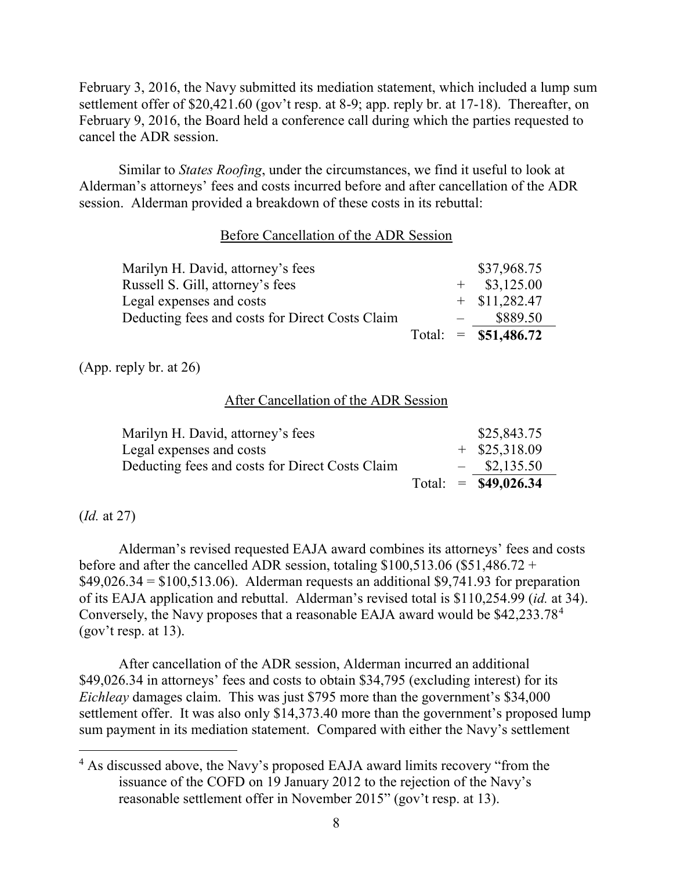February 3, 2016, the Navy submitted its mediation statement, which included a lump sum settlement offer of \$20,421.60 (gov't resp. at 8-9; app. reply br. at 17-18). Thereafter, on February 9, 2016, the Board held a conference call during which the parties requested to cancel the ADR session.

Similar to *States Roofing*, under the circumstances, we find it useful to look at Alderman's attorneys' fees and costs incurred before and after cancellation of the ADR session. Alderman provided a breakdown of these costs in its rebuttal:

# Before Cancellation of the ADR Session

| Marilyn H. David, attorney's fees               |  | \$37,968.75            |
|-------------------------------------------------|--|------------------------|
| Russell S. Gill, attorney's fees                |  | $+$ \$3,125.00         |
| Legal expenses and costs                        |  | $+$ \$11,282.47        |
| Deducting fees and costs for Direct Costs Claim |  | \$889.50               |
|                                                 |  | Total: $=$ \$51,486.72 |

(App. reply br. at 26)

# After Cancellation of the ADR Session

|                                                                             |  | Total: $=$ \$49,026.34            |  |
|-----------------------------------------------------------------------------|--|-----------------------------------|--|
| Legal expenses and costs<br>Deducting fees and costs for Direct Costs Claim |  | $+$ \$25,318.09<br>$-$ \$2,135.50 |  |
|                                                                             |  |                                   |  |
| Marilyn H. David, attorney's fees                                           |  | \$25,843.75                       |  |
|                                                                             |  |                                   |  |

# (*Id.* at 27)

 $\overline{a}$ 

Alderman's revised requested EAJA award combines its attorneys' fees and costs before and after the cancelled ADR session, totaling  $$100,513.06$  (\$51,486.72 +  $$49,026.34 = $100,513.06$ . Alderman requests an additional \$9,741.93 for preparation of its EAJA application and rebuttal. Alderman's revised total is \$110,254.99 (*id.* at 34). Conversely, the Navy proposes that a reasonable EAJA award would be \$42,233.78[4](#page-7-0)  $(gov't resp. at 13).$ 

After cancellation of the ADR session, Alderman incurred an additional \$49,026.34 in attorneys' fees and costs to obtain \$34,795 (excluding interest) for its *Eichleay* damages claim. This was just \$795 more than the government's \$34,000 settlement offer. It was also only \$14,373.40 more than the government's proposed lump sum payment in its mediation statement. Compared with either the Navy's settlement

<span id="page-7-0"></span><sup>&</sup>lt;sup>4</sup> As discussed above, the Navy's proposed EAJA award limits recovery "from the issuance of the COFD on 19 January 2012 to the rejection of the Navy's reasonable settlement offer in November 2015" (gov't resp. at 13).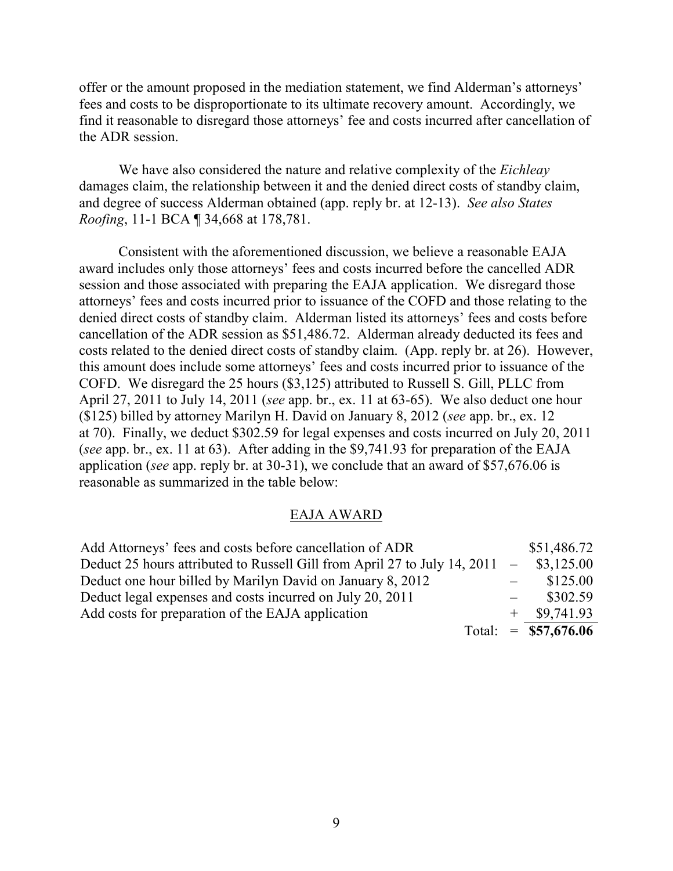offer or the amount proposed in the mediation statement, we find Alderman's attorneys' fees and costs to be disproportionate to its ultimate recovery amount. Accordingly, we find it reasonable to disregard those attorneys' fee and costs incurred after cancellation of the ADR session.

We have also considered the nature and relative complexity of the *Eichleay* damages claim, the relationship between it and the denied direct costs of standby claim, and degree of success Alderman obtained (app. reply br. at 12-13). *See also States Roofing*, 11-1 BCA ¶ 34,668 at 178,781.

Consistent with the aforementioned discussion, we believe a reasonable EAJA award includes only those attorneys' fees and costs incurred before the cancelled ADR session and those associated with preparing the EAJA application. We disregard those attorneys' fees and costs incurred prior to issuance of the COFD and those relating to the denied direct costs of standby claim. Alderman listed its attorneys' fees and costs before cancellation of the ADR session as \$51,486.72. Alderman already deducted its fees and costs related to the denied direct costs of standby claim. (App. reply br. at 26). However, this amount does include some attorneys' fees and costs incurred prior to issuance of the COFD. We disregard the 25 hours (\$3,125) attributed to Russell S. Gill, PLLC from April 27, 2011 to July 14, 2011 (*see* app. br., ex. 11 at 63-65). We also deduct one hour (\$125) billed by attorney Marilyn H. David on January 8, 2012 (*see* app. br., ex. 12 at 70). Finally, we deduct \$302.59 for legal expenses and costs incurred on July 20, 2011 (*see* app. br., ex. 11 at 63). After adding in the \$9,741.93 for preparation of the EAJA application (*see* app. reply br. at 30-31), we conclude that an award of \$57,676.06 is reasonable as summarized in the table below:

# EAJA AWARD

| Add Attorneys' fees and costs before cancellation of ADR                      |  | \$51,486.72           |
|-------------------------------------------------------------------------------|--|-----------------------|
| Deduct 25 hours attributed to Russell Gill from April 27 to July 14, 2011 $-$ |  | \$3,125.00            |
| Deduct one hour billed by Marilyn David on January 8, 2012                    |  | \$125.00              |
| Deduct legal expenses and costs incurred on July 20, 2011                     |  | \$302.59              |
| Add costs for preparation of the EAJA application                             |  | $+$ \$9,741.93        |
|                                                                               |  | Total: = $$57,676.06$ |